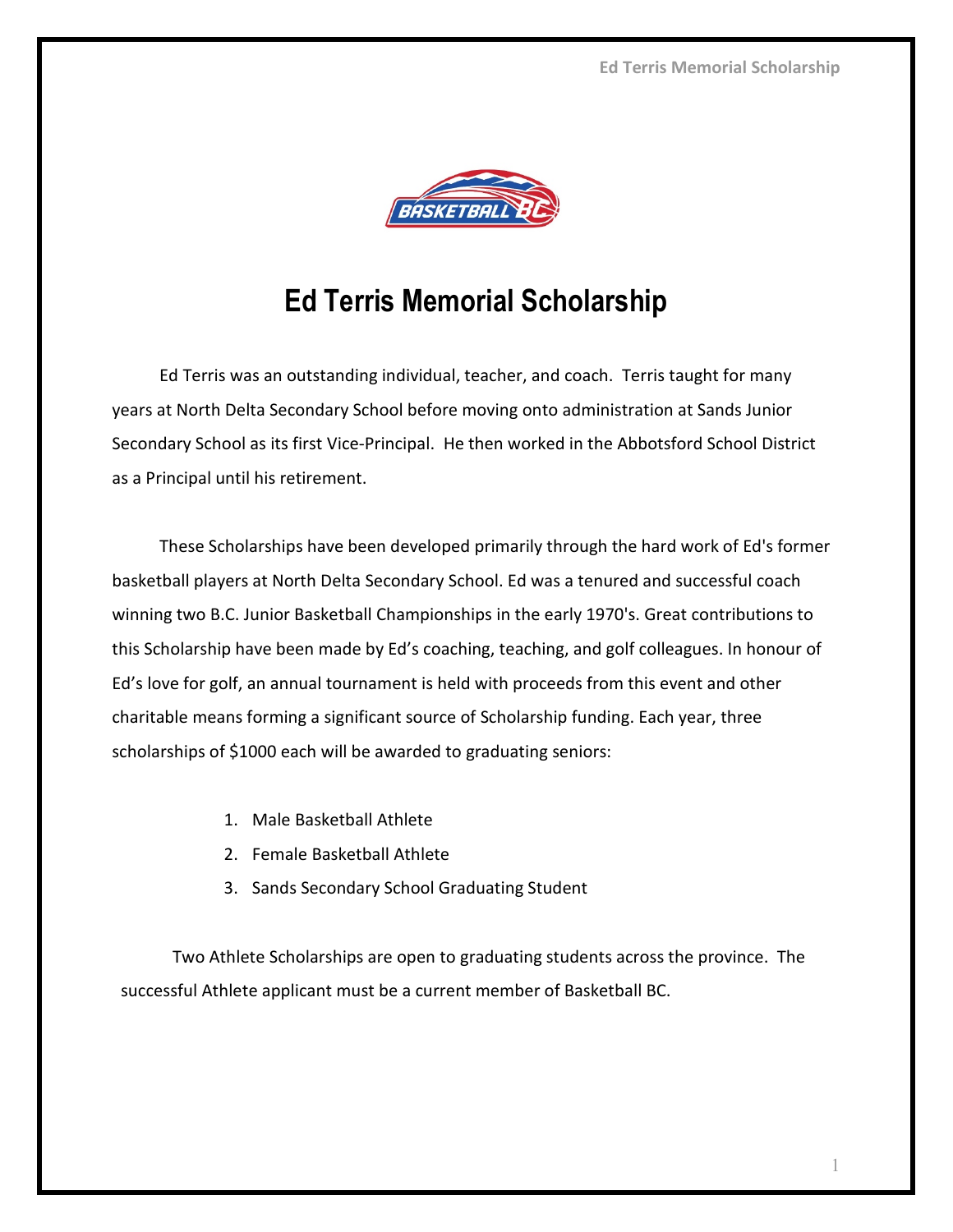

## **Ed Terris Memorial Scholarship**

Ed Terris was an outstanding individual, teacher, and coach. Terris taught for many years at North Delta Secondary School before moving onto administration at Sands Junior Secondary School as its first Vice-Principal. He then worked in the Abbotsford School District as a Principal until his retirement.

These Scholarships have been developed primarily through the hard work of Ed's former basketball players at North Delta Secondary School. Ed was a tenured and successful coach winning two B.C. Junior Basketball Championships in the early 1970's. Great contributions to this Scholarship have been made by Ed's coaching, teaching, and golf colleagues. In honour of Ed's love for golf, an annual tournament is held with proceeds from this event and other charitable means forming a significant source of Scholarship funding. Each year, three scholarships of \$1000 each will be awarded to graduating seniors:

- 1. Male Basketball Athlete
- 2. Female Basketball Athlete
- 3. Sands Secondary School Graduating Student

Two Athlete Scholarships are open to graduating students across the province. The successful Athlete applicant must be a current member of Basketball BC.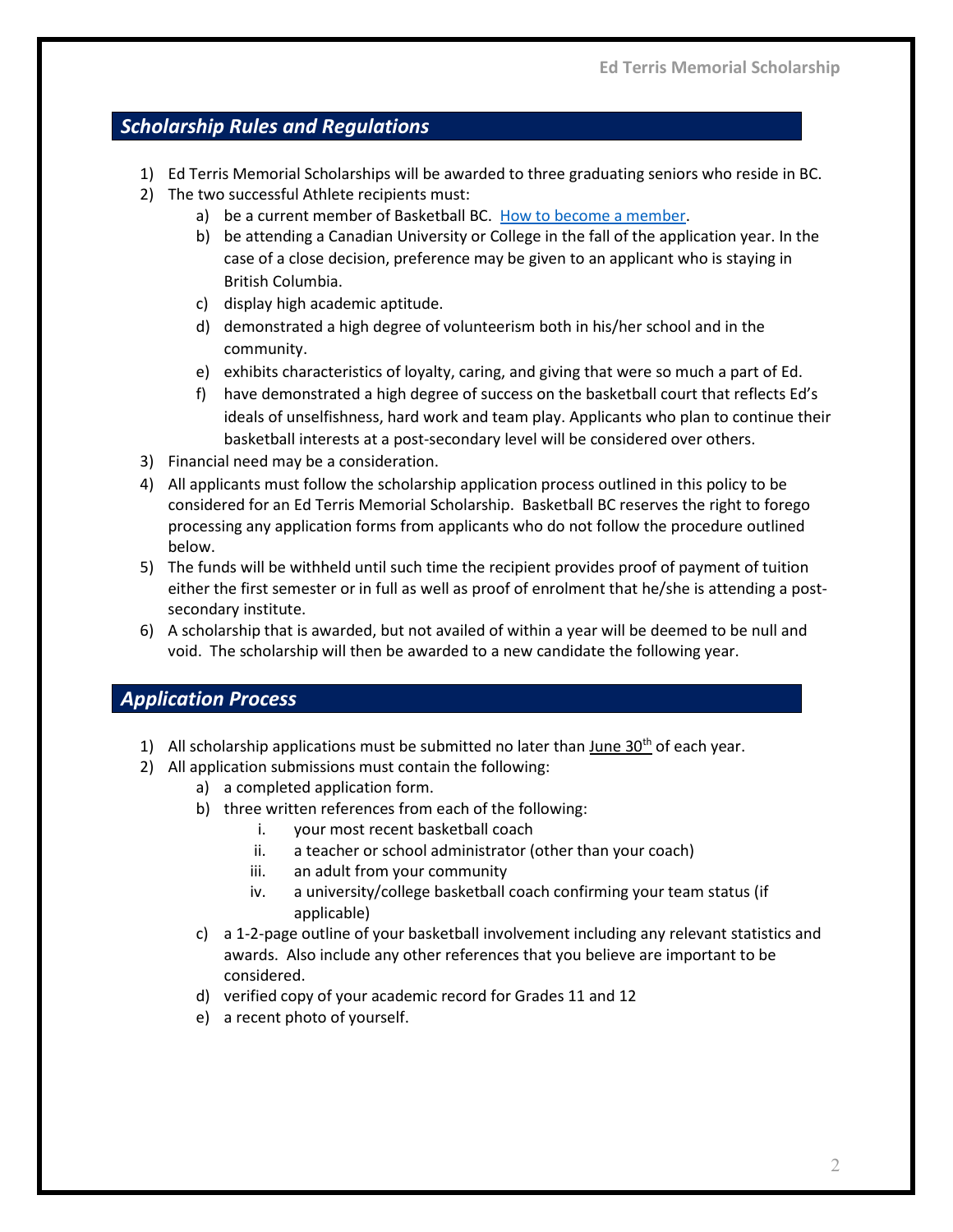## *Scholarship Rules and Regulations*

- 1) Ed Terris Memorial Scholarships will be awarded to three graduating seniors who reside in BC.
- 2) The two successful Athlete recipients must:
	- a) be a current member of Basketball BC. [How to become a member.](https://www.basketball.bc.ca/index.php?NSWAT_url=membership)
	- b) be attending a Canadian University or College in the fall of the application year. In the case of a close decision, preference may be given to an applicant who is staying in British Columbia.
	- c) display high academic aptitude.
	- d) demonstrated a high degree of volunteerism both in his/her school and in the community.
	- e) exhibits characteristics of loyalty, caring, and giving that were so much a part of Ed.
	- f) have demonstrated a high degree of success on the basketball court that reflects Ed's ideals of unselfishness, hard work and team play. Applicants who plan to continue their basketball interests at a post-secondary level will be considered over others.
- 3) Financial need may be a consideration.
- 4) All applicants must follow the scholarship application process outlined in this policy to be considered for an Ed Terris Memorial Scholarship. Basketball BC reserves the right to forego processing any application forms from applicants who do not follow the procedure outlined below.
- 5) The funds will be withheld until such time the recipient provides proof of payment of tuition either the first semester or in full as well as proof of enrolment that he/she is attending a postsecondary institute.
- 6) A scholarship that is awarded, but not availed of within a year will be deemed to be null and void. The scholarship will then be awarded to a new candidate the following year.

## *Application Process*

- 1) All scholarship applications must be submitted no later than June  $30<sup>th</sup>$  of each year.
- 2) All application submissions must contain the following:
	- a) a completed application form.
	- b) three written references from each of the following:
		- i. your most recent basketball coach
		- ii. a teacher or school administrator (other than your coach)
		- iii. an adult from your community
		- iv. a university/college basketball coach confirming your team status (if applicable)
	- c) a 1-2-page outline of your basketball involvement including any relevant statistics and awards. Also include any other references that you believe are important to be considered.
	- d) verified copy of your academic record for Grades 11 and 12
	- e) a recent photo of yourself.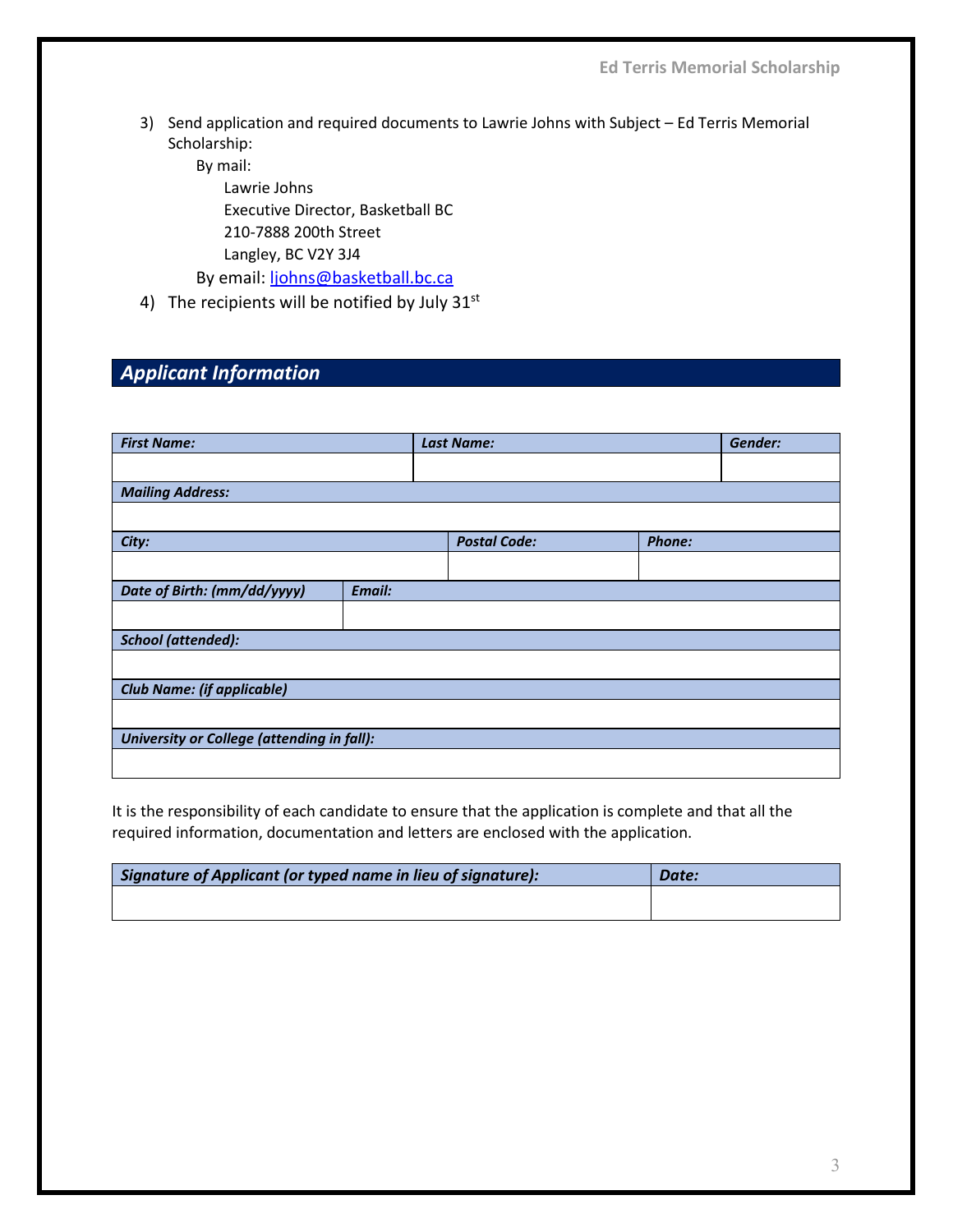**Ed Terris Memorial Scholarship**

3) Send application and required documents to Lawrie Johns with Subject – Ed Terris Memorial Scholarship:

By mail: Lawrie Johns

Executive Director, Basketball BC 210-7888 200th Street Langley, BC V2Y 3J4

By email: [ljohns@basketball.bc.ca](mailto:ljohns@basketball.bc.ca)

4) The recipients will be notified by July 31st

## *Applicant Information*

| <b>First Name:</b>                         |        |  | <b>Last Name:</b>   |               | Gender: |  |
|--------------------------------------------|--------|--|---------------------|---------------|---------|--|
|                                            |        |  |                     |               |         |  |
| <b>Mailing Address:</b>                    |        |  |                     |               |         |  |
|                                            |        |  |                     |               |         |  |
| City:                                      |        |  | <b>Postal Code:</b> | <b>Phone:</b> |         |  |
|                                            |        |  |                     |               |         |  |
| Date of Birth: (mm/dd/yyyy)                | Email: |  |                     |               |         |  |
|                                            |        |  |                     |               |         |  |
| <b>School (attended):</b>                  |        |  |                     |               |         |  |
|                                            |        |  |                     |               |         |  |
| <b>Club Name: (if applicable)</b>          |        |  |                     |               |         |  |
|                                            |        |  |                     |               |         |  |
| University or College (attending in fall): |        |  |                     |               |         |  |
|                                            |        |  |                     |               |         |  |

It is the responsibility of each candidate to ensure that the application is complete and that all the required information, documentation and letters are enclosed with the application.

| Signature of Applicant (or typed name in lieu of signature): | Date: |
|--------------------------------------------------------------|-------|
|                                                              |       |
|                                                              |       |